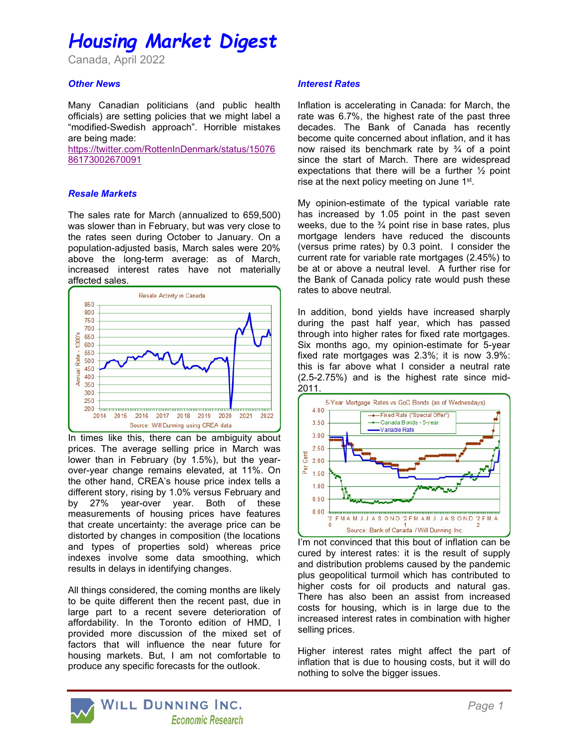# Housing Market Digest

Canada, April 2022

### **Other News**

Many Canadian politicians (and public health officials) are setting policies that we might label a "modified-Swedish approach". Horrible mistakes are being made:

https://twitter.com/RottenInDenmark/status/15076 86173002670091

#### Resale Markets

The sales rate for March (annualized to 659,500) was slower than in February, but was very close to the rates seen during October to January. On a population-adjusted basis, March sales were 20% above the long-term average: as of March, increased interest rates have not materially affected sales.



In times like this, there can be ambiguity about prices. The average selling price in March was lower than in February (by 1.5%), but the yearover-year change remains elevated, at 11%. On the other hand, CREA's house price index tells a different story, rising by 1.0% versus February and by 27% year-over year. Both of these measurements of housing prices have features that create uncertainty: the average price can be distorted by changes in composition (the locations and types of properties sold) whereas price indexes involve some data smoothing, which results in delays in identifying changes.

All things considered, the coming months are likely to be quite different then the recent past, due in large part to a recent severe deterioration of affordability. In the Toronto edition of HMD, I provided more discussion of the mixed set of factors that will influence the near future for housing markets. But, I am not comfortable to produce any specific forecasts for the outlook.

#### Interest Rates

Inflation is accelerating in Canada: for March, the rate was 6.7%, the highest rate of the past three decades. The Bank of Canada has recently become quite concerned about inflation, and it has now raised its benchmark rate by  $\frac{3}{4}$  of a point since the start of March. There are widespread expectations that there will be a further ½ point rise at the next policy meeting on June 1st.

My opinion-estimate of the typical variable rate has increased by 1.05 point in the past seven weeks, due to the  $\frac{3}{4}$  point rise in base rates, plus mortgage lenders have reduced the discounts (versus prime rates) by 0.3 point. I consider the current rate for variable rate mortgages (2.45%) to be at or above a neutral level. A further rise for the Bank of Canada policy rate would push these rates to above neutral.

In addition, bond yields have increased sharply during the past half year, which has passed through into higher rates for fixed rate mortgages. Six months ago, my opinion-estimate for 5-year fixed rate mortgages was 2.3%; it is now 3.9%: this is far above what I consider a neutral rate (2.5-2.75%) and is the highest rate since mid-2011.



I'm not convinced that this bout of inflation can be cured by interest rates: it is the result of supply and distribution problems caused by the pandemic plus geopolitical turmoil which has contributed to higher costs for oil products and natural gas. There has also been an assist from increased costs for housing, which is in large due to the increased interest rates in combination with higher selling prices.

Higher interest rates might affect the part of inflation that is due to housing costs, but it will do nothing to solve the bigger issues.